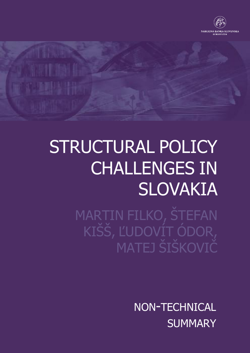

# STRUCTURAL POLICY CHALLENGES IN SLOVAKIA

MARTIN FILKO, ŠTEFAN KIŠŠ, ĽUDOVÍT ÓDOR, MATEJ ŠIŠKOVIČ

> NON-TECHNICAL **SUMMARY**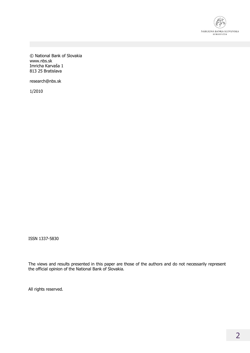

© National Bank of Slovakia www.nbs.sk Imricha Karvaša 1 813 25 Bratislava

research@nbs.sk

1/2010

ISSN 1337-5830

The views and results presented in this paper are those of the authors and do not necessarily represent the official opinion of the National Bank of Slovakia.

All rights reserved.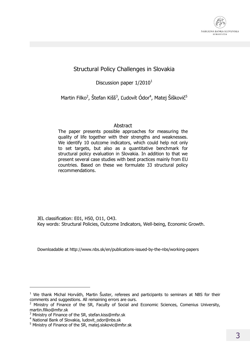

## Structural Policy Challenges in Slovakia

Discussion paper  $1/2010<sup>1</sup>$ 

Martin Filko<sup>2</sup>, Štefan Kišš<sup>3</sup>, Ľudovít Ódor<sup>4</sup>, Matej Šiškovič<sup>5</sup>

## Abstract

The paper presents possible approaches for measuring the quality of life together with their strengths and weaknesses. We identify 10 outcome indicators, which could help not only to set targets, but also as a quantitative benchmark for structural policy evaluation in Slovakia. In addition to that we present several case studies with best practices mainly from EU countries. Based on these we formulate 33 structural policy recommendations.

JEL classification: E01, H50, O11, O43. Key words: Structural Policies, Outcome Indicators, Well-being, Economic Growth.

Downloadable at http://www.nbs.sk/en/publications-issued-by-the-nbs/working-papers

-

 $1$  We thank Michal Horváth, Martin Šuster, referees and participants to seminars at NBS for their comments and suggestions. All remaining errors are ours.

<sup>&</sup>lt;sup>2</sup> Ministry of Finance of the SR, Faculty of Social and Economic Sciences, Comenius University, martin.filko@mfsr.sk

<sup>&</sup>lt;sup>3</sup> Ministry of Finance of the SR, stefan.kiss@mfsr.sk

<sup>4</sup> National Bank of Slovakia, ludovit\_odor@nbs.sk

<sup>5</sup> Ministry of Finance of the SR, matej.siskovic@mfsr.sk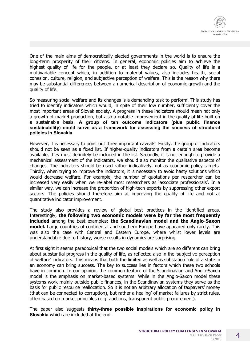

One of the main aims of democratically elected governments in the world is to ensure the long-term prosperity of their citizens. In general, economic policies aim to achieve the highest quality of life for the people, or at least they declare so. Quality of life is a multivariable concept which, in addition to material values, also includes health, social cohesion, culture, religion, and subjective perception of welfare. This is the reason why there may be substantial differences between a numerical description of economic growth and the quality of life.

So measuring social welfare and its changes is a demanding task to perform. This study has tried to identify indicators which would, in spite of their low number, sufficiently cover the most important areas of Slovak society. A progress in these indicators should mean not only a growth of market production, but also a notable improvement in the quality of life built on a sustainable basis. **A group of ten outcome indicators (plus public finance sustainability) could serve as a framework for assessing the success of structural policies in Slovakia.** 

However, it is necessary to point out three important caveats. Firstly, the group of indicators should not be seen as a fixed list. If higher-quality indicators from a certain area become available, they must definitely be included in the list. Secondly, it is not enough to provide a mechanical assessment of the indicators, we should also monitor the qualitative aspects of changes. The indicators should be used rather indicatively, not as economic policy targets. Thirdly, when trying to improve the indicators, it is necessary to avoid hasty solutions which would decrease welfare. For example, the number of quotations per researcher can be increased very easily when we re-label most researchers as 'associate professionals'. In a similar way, we can increase the proportion of high-tech exports by suppressing other export sectors. The policies should therefore aim at improving the quality of life and not at quantitative indicator improvement.

The study also provides a review of global best practices in the identified areas. Interestingly, **the following two economic models were by far the most frequently included** among the best examples: **the Scandinavian model and the Anglo-Saxon model.** Large countries of continental and southern Europe have appeared only rarely. This was also the case with Central and Eastern Europe, where whilst lower levels are understandable due to history, worse results in dynamics are surprising.

At first sight it seems paradoxical that the two social models which are so different can bring about substantial progress in the quality of life, as reflected also in the 'subjective perception of welfare' indicators. This means that both the limited as well as substation role of a state in an economy can bring success. The key to success lies in factors which these two schools have in common. In our opinion, the common feature of the Scandinavian and Anglo-Saxon model is the emphasis on market-based systems. While in the Anglo-Saxon model these systems work mainly outside public finances, in the Scandinavian systems they serve as the basis for public resource reallocation. So it is not an arbitrary allocation of taxpayers' money (that can be connected to corruption), but rather a healing' of market failures by strict rules, often based on market principles (e.g. auctions, transparent public procurement).

The paper also suggests **thirty-three possible inspirations for economic policy in Slovakia** which are included at the end.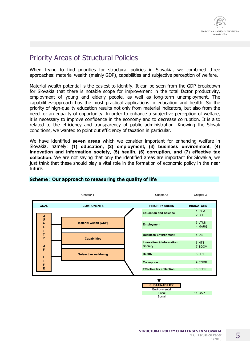# Priority Areas of Structural Policies

When trying to find priorities for structural policies in Slovakia, we combined three approaches: material wealth (mainly GDP), capabilities and subjective perception of welfare.

Material wealth potential is the easiest to identify. It can be seen from the GDP breakdown for Slovakia that there is notable scope for improvement in the total factor productivity, employment of young and elderly people, as well as long-term unemployment. The capabilities-approach has the most practical applications in education and health. So the priority of high-quality education results not only from material indicators, but also from the need for an equality of opportunity. In order to enhance a subjective perception of welfare, it is necessary to improve confidence in the economy and to decrease corruption. It is also related to the efficiency and transparency of public administration. Knowing the Slovak conditions, we wanted to point out efficiency of taxation in particular.

We have identified **seven areas** which we consider important for enhancing welfare in Slovakia, namely: **(1) education, (2) employment, (3) business environment, (4) innovation and information society, (5) health, (6) corruption, and (7) effective tax collection.** We are not saying that only the identified areas are important for Slovakia, we just think that these should play a vital role in the formation of economic policy in the near future.



## **Scheme : Our approach to measuring the quality of life**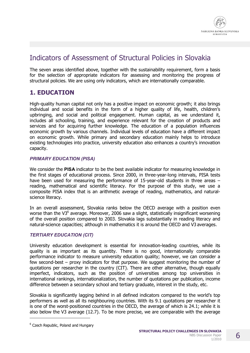## Indicators of Assessment of Structural Policies in Slovakia

The seven areas identified above, together with the sustainability requirement, form a basis for the selection of appropriate indicators for assessing and monitoring the progress of structural policies. We are using only indicators, which are internationally comparable.

## **1. EDUCATION**

High-quality human capital not only has a positive impact on economic growth; it also brings individual and social benefits in the form of a higher quality of life, health, children's upbringing, and social and political engagement. Human capital, as we understand it, includes all schooling, training, and experience relevant for the creation of products and services and for acquiring further knowledge. The education of a population influences economic growth by various channels. Individual levels of education have a different impact on economic growth. While primary and secondary education mainly helps to introduce existing technologies into practice, university education also enhances a country's innovation capacity.

## *PRIMARY EDUCATION (PISA)*

We consider the **PISA** indicator to be the best available indicator for measuring knowledge in the first stages of educational process. Since 2000, in three-year-long intervals, PISA tests have been used for measuring the performance of 15-year-old students in three areas – reading, mathematical and scientific literacy. For the purpose of this study, we use a composite PISA index that is an arithmetic average of reading, mathematics, and naturalscience literacy.

In an overall assessment, Slovakia ranks below the OECD average with a position even worse than the V3 $<sup>6</sup>$  average. Moreover, 2006 saw a slight, statistically insignificant worsening</sup> of the overall position compared to 2003. Slovakia lags substantially in reading literacy and natural-science capacities; although in mathematics it is around the OECD and V3 averages.

## *TERTIARY EDUCATION (CIT)*

University education development is essential for innovation-leading countries, while its quality is as important as its quantity. There is no good, internationally comparable performance indicator to measure university education quality; however, we can consider a few second-best – proxy indicators for that purpose. We suggest monitoring the number of quotations per researcher in the country (CIT). There are other alternative, though equally imperfect, indicators, such as the position of universities among top universities in international rankings, internationalization, the number of quotations per publication, income difference between a secondary school and tertiary graduate, interest in the study, etc.

Slovakia is significantly lagging behind in all defined indicators compared to the world's top performers as well as all its neighbouring countries. With its 9.1 quotations per researcher it is one of the worst-positioned countries in the OECD, the average of which is 24.1; while it is also below the V3 average (12.7). To be more precise, we are comparable with the average

-

<sup>&</sup>lt;sup>6</sup> Czech Republic, Poland and Hungary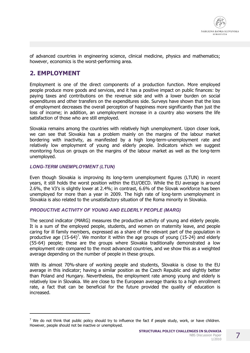

of advanced countries in engineering science, clinical medicine, physics and mathematics; however, economics is the worst-performing area.

## **2. EMPLOYMENT**

Employment is one of the direct components of a production function. More employed people produce more goods and services, and it has a positive impact on public finances: by paying taxes and contributions on the revenue side and with a lower burden on social expenditures and other transfers on the expenditures side. Surveys have shown that the loss of employment decreases the overall perception of happiness more significantly than just the loss of income; in addition, an unemployment increase in a country also worsens the life satisfaction of those who are still employed.

Slovakia remains among the countries with relatively high unemployment. Upon closer look, we can see that Slovakia has a problem mainly on the margins of the labour market bordering with inactivity, as manifested by a high long-term-unemployment rate and relatively low employment of young and elderly people. Indicators which we suggest monitoring focus on groups on the margins of the labour market as well as the long-term unemployed.

#### *LONG-TERM UNEMPLOYMENT (LTUN)*

j

Even though Slovakia is improving its long-term unemployment figures (LTUN) in recent years, it still holds the worst position within the EU/OECD. While the EU average is around 2.6%, the V3's is slightly lower at 2.4%; in contrast, 6.6% of the Slovak workforce has been unemployed for more than a year in 2009. The high rate of long-term unemployment in Slovakia is also related to the unsatisfactory situation of the Roma minority in Slovakia.

## *PRODUCTIVE ACTIVITY OF YOUNG AND ELDERLY PEOPLE (MARG)*

The second indicator (MARG) measures the productive activity of young and elderly people. It is a sum of the employed people, students, and women on maternity leave, and people caring for ill family members, expressed as a share of the relevant part of the population in productive age  $(15{\text -}64)^7$ . We monitor it within the age groups of young  $(15{\text -}24)$  and elderly (55-64) people; these are the groups where Slovakia traditionally demonstrated a low employment rate compared to the most advanced countries, and we show this as a weighted average depending on the number of people in these groups.

With its almost 70%-share of working people and students, Slovakia is close to the EU average in this indicator; having a similar position as the Czech Republic and slightly better than Poland and Hungary. Nevertheless, the employment rate among young and elderly is relatively low in Slovakia. We are close to the European average thanks to a high enrollment rate, a fact that can be beneficial for the future provided the quality of education is increased.

<sup>&</sup>lt;sup>7</sup> We do not think that public policy should try to influence the fact if people study, work, or have children. However, people should not be inactive or unemployed.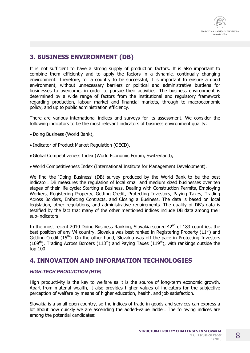## **3. BUSINESS ENVIRONMENT (DB)**

It is not sufficient to have a strong supply of production factors. It is also important to combine them efficiently and to apply the factors in a dynamic, continually changing environment. Therefore, for a country to be successful, it is important to ensure a good environment, without unnecessary barriers or political and administrative burdens for businesses to overcome, in order to pursue their activities. The business environment is determined by a wide range of factors from the institutional and regulatory framework regarding production, labour market and financial markets, through to macroeconomic policy, and up to public administration efficiency.

There are various international indices and surveys for its assessment. We consider the following indicators to be the most relevant indicators of business environment quality:

- · Doing Business (World Bank),
- · Indicator of Product Market Regulation (OECD),
- · Global Competitiveness Index (World Economic Forum, Switzerland),
- · World Competitiveness Index (International Institute for Management Development).

We find the 'Doing Business' (DB) survey produced by the World Bank to be the best indicator. DB measures the regulation of local small and medium sized businesses over ten stages of their life cycle: Starting a Business, Dealing with Construction Permits, Employing Workers, Registering Property, Getting Credit, Protecting Investors, Paying Taxes, Trading Across Borders, Enforcing Contracts, and Closing a Business. The data is based on local legislation, other regulations, and administrative requirements. The quality of DB's data is testified by the fact that many of the other mentioned indices include DB data among their sub-indicators.

In the most recent 2010 Doing Business Ranking, Slovakia scored  $42^{nd}$  of 183 countries, the best position of any V4 country. Slovakia was best ranked in Registering Property  $(11<sup>th</sup>)$  and Getting Credit  $(15<sup>th</sup>)$ . On the other hand, Slovakia was off the pace in Protecting Investors  $(109<sup>th</sup>)$ , Trading Across Borders  $(113<sup>th</sup>)$  and Paying Taxes  $(119<sup>th</sup>)$ , with rankings outside the top 100.

## **4. INNOVATION AND INFORMATION TECHNOLOGIES**

## *HIGH-TECH PRODUCTION (HTE)*

High productivity is the key to welfare as it is the source of long-term economic growth. Apart from material wealth, it also provides higher values of indicators for the subjective perception of welfare by means of higher education, health, and job satisfaction.

Slovakia is a small open country, so the indices of trade in goods and services can express a lot about how quickly we are ascending the added-value ladder. The following indices are among the potential candidates: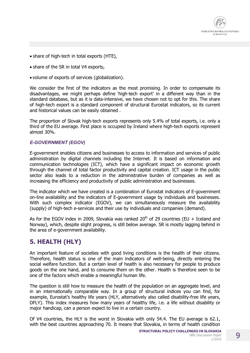

- · share of high-tech in total exports (HTE),
- · share of the SR in total V4 exports,
- · volume of exports of services (globalization).

We consider the first of the indicators as the most promising. In order to compensate its disadvantages, we might perhaps define 'high-tech export' in a different way than in the standard database, but as it is data-intensive, we have chosen not to opt for this. The share of high-tech export is a standard component of structural Eurostat indicators, so its current and historical values can be easily obtained .

The proportion of Slovak high-tech exports represents only 5.4% of total exports, i.e. only a third of the EU average. First place is occupied by Ireland where high-tech exports represent almost 30%.

#### *E-GOVERNMENT (EGOV)*

E-government enables citizens and businesses to access to information and services of public administration by digital channels including the Internet. It is based on information and communication technologies (ICT), which have a significant impact on economic growth through the channel of total factor productivity and capital creation. ICT usage in the public sector also leads to a reduction in the administrative burden of companies as well as increasing the efficiency and productivity of public administration and businesses.

The indicator which we have created is a combination of Eurostat indicators of E-government on-line availability and the indicators of E-government usage by individuals and businesses. With such complex indicator (EGOV), we can simultaneously measure the availability (supply) of high-tech e-services and their use by individuals and companies (demand).

As for the EGOV index in 2009, Slovakia was ranked  $20<sup>th</sup>$  of 29 countries (EU + Iceland and Norway), which, despite slight progress, is still below average. SR is mostly lagging behind in the area of e-government availability.

## **5. HEALTH (HLY)**

An important feature of societies with good living conditions is the health of their citizens. Therefore, health status is one of the main indicators of well-being, directly entering the social welfare function. But a certain level of health is also necessary for people to produce goods on the one hand, and to consume them on the other. Health is therefore seen to be one of the factors which enable a meaningful human life.

The question is still how to measure the health of the population on an aggregate level, and in an internationally comparable way. In a group of structural indices you can find, for example, Eurostat's healthy life years (HLY, alternatively also called disability-free life years, DFLY). This index measures how many years of healthy life, i.e. a life without disability or major handicap, can a person expect to live in a certain country.

Of V4 countries, the HLY is the worst in Slovakia with only 54.4. The EU average is 62.1, with the best countries approaching 70. It means that Slovakia, in terms of health condition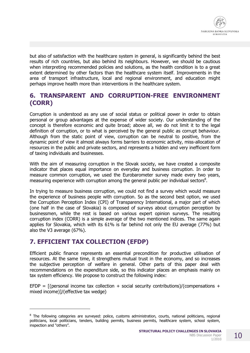

but also of satisfaction with the healthcare system in general, is significantly behind the best results of rich countries, but also behind its neighbours. However, we should be cautious when interpreting recommended policies and solutions, as the health condition is to a great extent determined by other factors than the healthcare system itself. Improvements in the area of transport infrastructure, local and regional environment, and education might perhaps improve health more than interventions in the healthcare system.

## **6. TRANSPARENT AND CORRUPTION-FREE ENVIRONMENT (CORR)**

Corruption is understood as any use of social status or political power in order to obtain personal or group advantages at the expense of wider society. Our understanding of the concept is therefore economic and quite broad; above all, we do not limit it to the legal definition of corruption, or to what is perceived by the general public as corrupt behaviour. Although from the static point of view, corruption can be neutral to positive, from the dynamic point of view it almost always forms barriers to economic activity, miss-allocation of resources in the public and private sectors, and represents a hidden and very inefficient form of taxing individuals and businesses.

With the aim of measuring corruption in the Slovak society, we have created a composite indicator that places equal importance on everyday and business corruption. In order to measure common corruption, we used the Eurobarometer survey made every two years, measuring experience with corruption among the general public per individual sectors<sup>8</sup>.

In trying to measure business corruption, we could not find a survey which would measure the experience of business people with corruption. So as the second best option, we used the Corruption Perception Index (CPI) of Transparency International, a major part of which (one half in the case of Slovakia) is composed of surveys about corruption perception by businessmen, while the rest is based on various expert opinion surveys. The resulting corruption index (CORR) is a simple average of the two mentioned indices. The same again applies for Slovakia, which with its 61% is far behind not only the EU average (77%) but also the V3 average (67%).

## **7. EFFICIENT TAX COLLECTION (EFDP)**

j

Efficient public finance represents an essential precondition for productive utilisation of resources. At the same time, it strengthens mutual trust in the economy, and so increases the subjective perception of welfare in general. Other parts of this paper deal with recommendations on the expenditure side, so this indicator places an emphasis mainly on tax system efficiency. We propose to construct the following index:

EFDP =  $[$ (personal income tax collection + social security contributions)/(compensations + mixed income)]/(effective tax wedge)

<sup>&</sup>lt;sup>8</sup> The following categories are surveyed: police, customs administration, courts, national politicians, regional politicians, local politicians, tenders, building permits, business permits, healthcare system, school system, inspection and "others".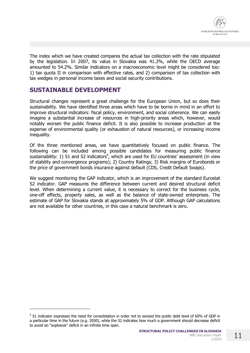

The index which we have created compares the actual tax collection with the rate stipulated by the legislation. In 2007, its value in Slovakia was 41.2%, while the OECD average amounted to 54.2%. Similar indicators on a macroeconomic level might be considered too: 1) tax quota II in comparison with effective rates, and 2) comparison of tax collection with tax wedges in personal income taxes and social security contributions.

## **SUSTAINABLE DEVELOPMENT**

j

Structural changes represent a great challenge for the European Union, but so does their sustainability. We have identified three areas which have to be borne in mind in an effort to improve structural indicators: fiscal policy, environment, and social coherence. We can easily imagine a substantial increase of resources in high-priority areas which, however, would notably worsen the public finance deficit. It is also possible to increase production at the expense of environmental quality (or exhaustion of natural resources), or increasing income inequality.

Of the three mentioned areas, we have quantitatively focused on public finance. The following can be included among possible candidates for measuring public finance sustainability: 1) S1 and S2 indicators<sup>9</sup>, which are used for EU countries' assessment (in view of stability and convergence programs); 2) Country Ratings; 3) Risk margins of Eurobonds or the price of government bonds insurance against default (CDS, Credit Default Swaps).

We suggest monitoring the GAP indicator, which is an improvement of the standard Eurostat S2 indicator. GAP measures the difference between current and desired structural deficit level. When determining a current value, it is necessary to correct for the business cycle, one-off effects, property sales, as well as the balance of state-owned enterprises. The estimate of GAP for Slovakia stands at approximately 5% of GDP. Although GAP calculations are not available for other countries, in this case a natural benchmark is zero.

<sup>&</sup>lt;sup>9</sup> S1 indicator expresses the need for consolidation in order not to exceed the public debt level of 60% of GDP in a particular time in the future (e.g. 2050), while the S2 indicates how much a government should decrease deficit to avoid an "explosive" deficit in an infinite time span.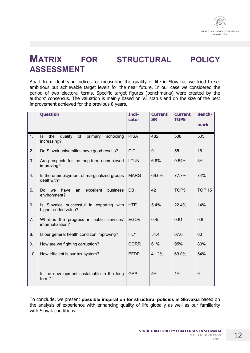

# **MATRIX FOR STRUCTURAL POLICY ASSESSMENT**

Apart from identifying indices for measuring the quality of life in Slovakia, we tried to set ambitious but achievable target levels for the near future. In our case we considered the period of two electoral terms. Specific target figures (benchmarks) were created by the authors' consensus. The valuation is mainly based on V3 status and on the size of the best improvement achieved for the previous 8 years.

|                  | <b>Question</b>                                                         | Indi-<br>cator | <b>Current</b><br><b>SR</b> | <b>Current</b><br>TOP5 | <b>Bench-</b> |
|------------------|-------------------------------------------------------------------------|----------------|-----------------------------|------------------------|---------------|
|                  |                                                                         |                |                             |                        | mark          |
| $\overline{1}$ . | Is<br>quality<br>the<br>of<br>primary<br>schooling<br>increasing?       | <b>PISA</b>    | 482                         | 538                    | 505           |
| 2.               | Do Slovak universities have good results?                               | <b>CIT</b>     | 9                           | 55                     | 16            |
| 3.               | Are prospects for the long-term unemployed<br>improving?                | <b>LTUN</b>    | 6.6%                        | 0.54%                  | 3%            |
| 4.               | Is the unemployment of marginalized groups<br>dealt with?               | <b>MARG</b>    | 69.6%                       | 77.7%                  | 74%           |
| 5.               | excellent<br>have<br><b>business</b><br>Do.<br>we<br>an<br>environment? | <b>DB</b>      | 42                          | TOP <sub>5</sub>       | <b>TOP 15</b> |
| 6.               | Is Slovakia successful in exporting with<br>higher added value?         | <b>HTE</b>     | 5.4%                        | 22.4%                  | 14%           |
| 7.               | What is the progress in public services'<br>informatization?            | <b>EGOV</b>    | 0.45                        | 0.81                   | 0.8           |
| 8.               | Is our general health condition improving?                              | <b>HLY</b>     | 54.4                        | 67.6                   | 60            |
| 9.               | How are we fighting corruption?                                         | <b>CORR</b>    | 61%                         | 95%                    | 80%           |
| 10.              | How efficient is our tax system?                                        | <b>EFDP</b>    | 41.2%                       | 69.0%                  | 54%           |
|                  | Is the development sustainable in the long<br>term?                     | <b>GAP</b>     | 5%                          | 1%                     | $\mathbf 0$   |

To conclude, we present **possible inspiration for structural policies in Slovakia** based on the analysis of experience with enhancing quality of life globally as well as our familiarity with Slovak conditions.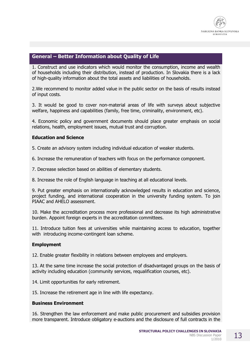

## **General – Better Information about Quality of Life**

1. Construct and use indicators which would monitor the consumption, income and wealth of households including their distribution, instead of production. In Slovakia there is a lack of high-quality information about the total assets and liabilities of households.

2.We recommend to monitor added value in the public sector on the basis of results instead of input costs.

3. It would be good to cover non-material areas of life with surveys about subjective welfare, happiness and capabilities (family, free time, criminality, environment, etc).

4. Economic policy and government documents should place greater emphasis on social relations, health, employment issues, mutual trust and corruption.

## **Education and Science**

5. Create an advisory system including individual education of weaker students.

6. Increase the remuneration of teachers with focus on the performance component.

7. Decrease selection based on abilities of elementary students.

8. Increase the role of English language in teaching at all educational levels.

9. Put greater emphasis on internationally acknowledged results in education and science, project funding, and international cooperation in the university funding system. To join PIAAC and AHELO assessment.

10. Make the accreditation process more professional and decrease its high administrative burden. Appoint foreign experts in the accreditation committees.

11. Introduce tuition fees at universities while maintaining access to education, together with introducing income-contingent loan scheme.

#### **Employment**

12. Enable greater flexibility in relations between employees and employers.

13. At the same time increase the social protection of disadvantaged groups on the basis of activity including education (community services, requalification courses, etc).

14. Limit opportunities for early retirement.

15. Increase the retirement age in line with life expectancy.

#### **Business Environment**

16. Strengthen the law enforcement and make public procurement and subsidies provision more transparent. Introduce obligatory e-auctions and the disclosure of full contracts in the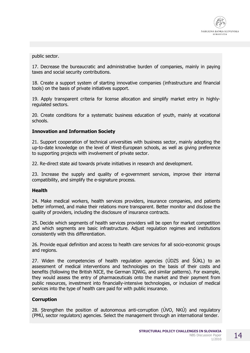

public sector.

17. Decrease the bureaucratic and administrative burden of companies, mainly in paying taxes and social security contributions.

18. Create a support system of starting innovative companies (infrastructure and financial tools) on the basis of private initiatives support.

19. Apply transparent criteria for license allocation and simplify market entry in highlyregulated sectors.

20. Create conditions for a systematic business education of youth, mainly at vocational schools.

#### **Innovation and Information Society**

21. Support cooperation of technical universities with business sector, mainly adopting the up-to-date knowledge on the level of West-European schools, as well as giving preference to supporting projects with involvement of private sector.

22. Re-direct state aid towards private initiatives in research and development.

23. Increase the supply and quality of e-government services, improve their internal compatibility, and simplify the e-signature process.

#### **Health**

24. Make medical workers, health services providers, insurance companies, and patients better informed, and make their relations more transparent. Better monitor and disclose the quality of providers, including the disclosure of insurance contracts.

25. Decide which segments of health services providers will be open for market competition and which segments are basic infrastructure. Adjust regulation regimes and institutions consistently with this differentiation.

26. Provide equal definition and access to health care services for all socio-economic groups and regions.

27. Widen the competencies of health regulation agencies (ÚDZS and ŠÚKL) to an assessment of medical interventions and technologies on the basis of their costs and benefits (following the British NICE, the German IQWiG, and similar patterns). For example, they would assess the entry of pharmaceuticals onto the market and their payment from public resources, investment into financially-intensive technologies, or inclusion of medical services into the type of health care paid for with public insurance.

#### **Corruption**

28. Strengthen the position of autonomous anti-corruption (ÚVO, NKÚ) and regulatory (PMÚ, sector regulators) agencies. Select the management through an international tender.